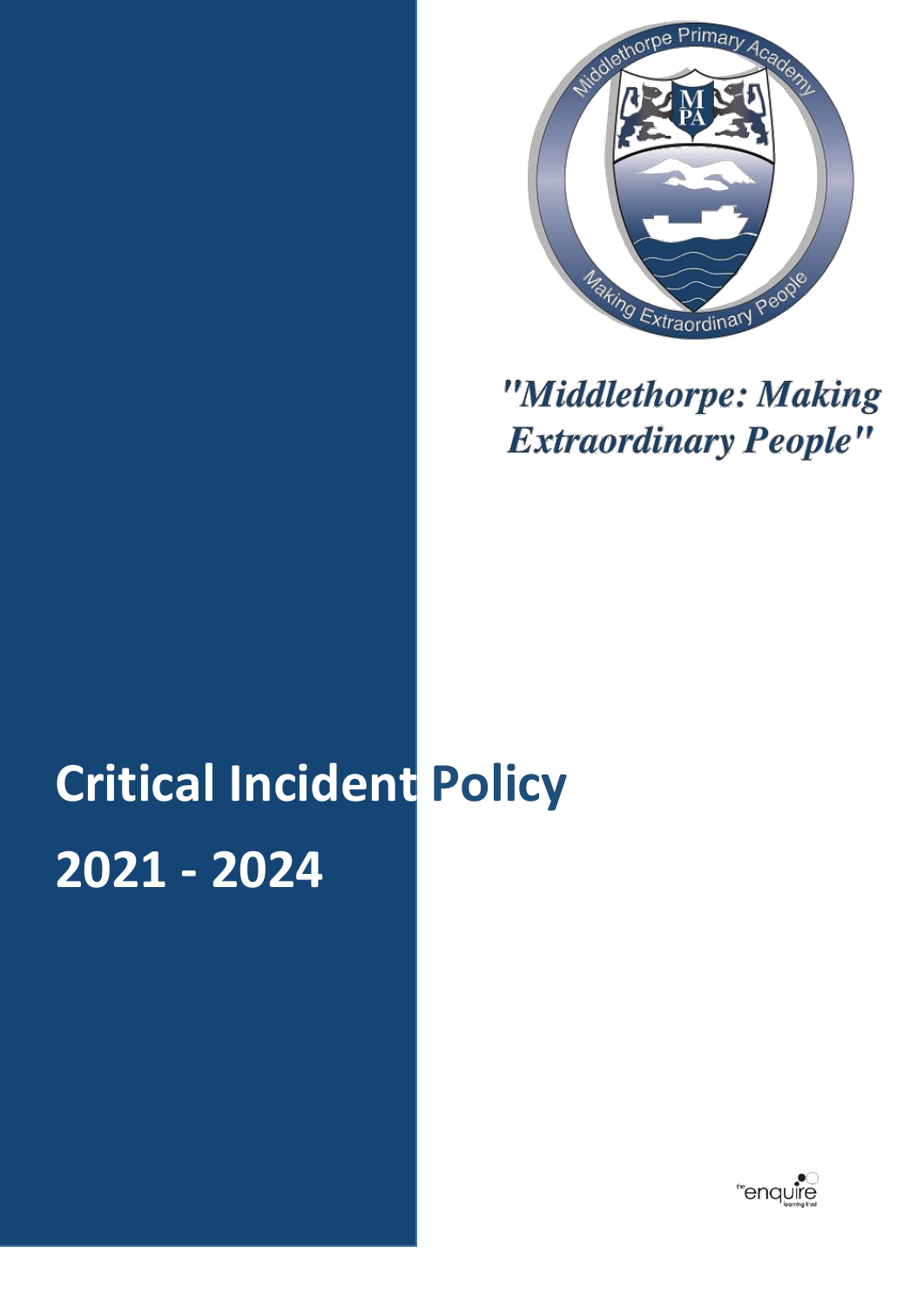

# "Middlethorpe: Making **Extraordinary People"**

# **Critical Incident Policy 2021 - 2024**

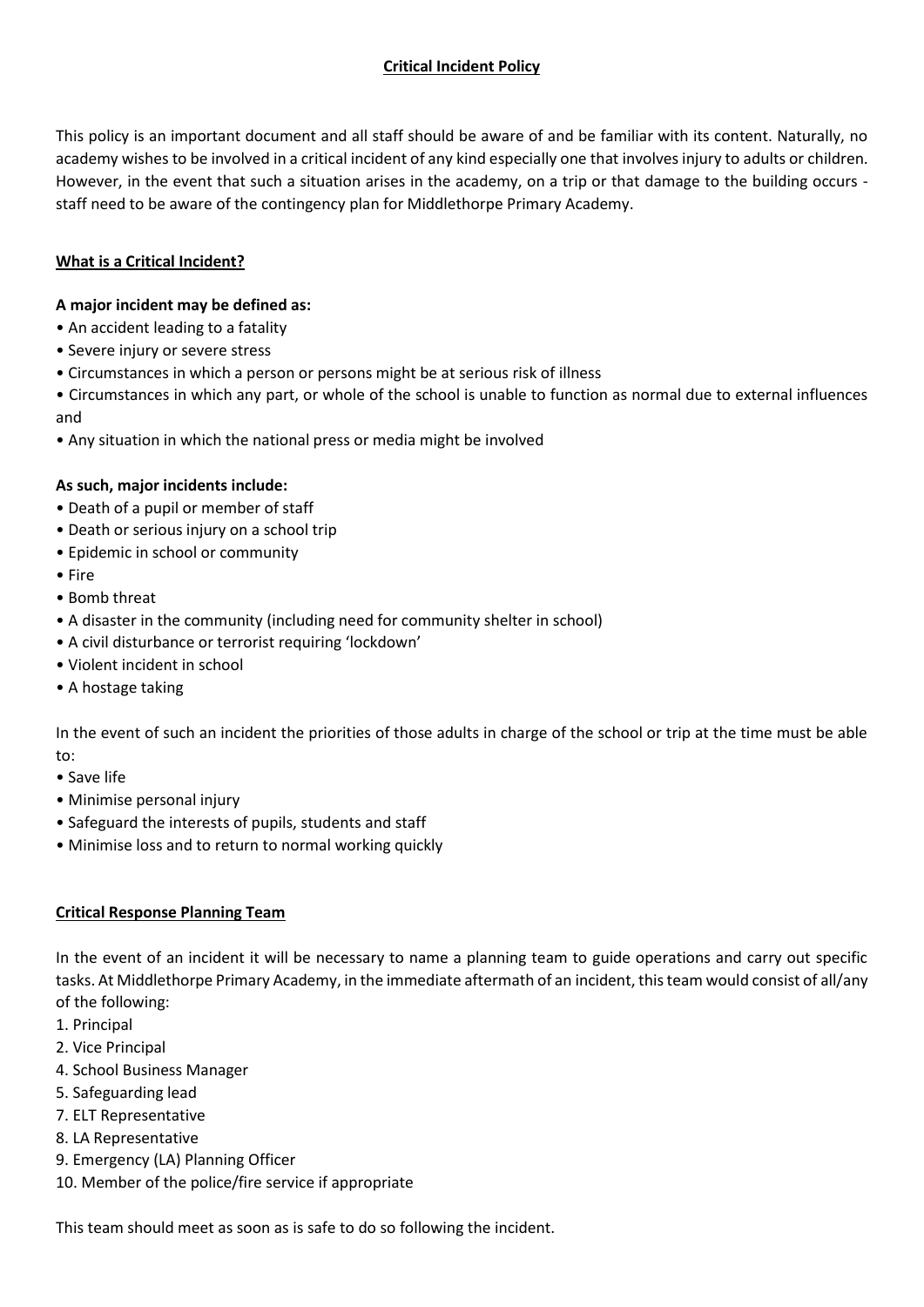# **Critical Incident Policy**

This policy is an important document and all staff should be aware of and be familiar with its content. Naturally, no academy wishes to be involved in a critical incident of any kind especially one that involves injury to adults or children. However, in the event that such a situation arises in the academy, on a trip or that damage to the building occurs staff need to be aware of the contingency plan for Middlethorpe Primary Academy.

# **What is a Critical Incident?**

## **A major incident may be defined as:**

- An accident leading to a fatality
- Severe injury or severe stress
- Circumstances in which a person or persons might be at serious risk of illness
- Circumstances in which any part, or whole of the school is unable to function as normal due to external influences and
- Any situation in which the national press or media might be involved

#### **As such, major incidents include:**

- Death of a pupil or member of staff
- Death or serious injury on a school trip
- Epidemic in school or community
- Fire
- Bomb threat
- A disaster in the community (including need for community shelter in school)
- A civil disturbance or terrorist requiring 'lockdown'
- Violent incident in school
- A hostage taking

In the event of such an incident the priorities of those adults in charge of the school or trip at the time must be able to:

- Save life
- Minimise personal injury
- Safeguard the interests of pupils, students and staff
- Minimise loss and to return to normal working quickly

#### **Critical Response Planning Team**

In the event of an incident it will be necessary to name a planning team to guide operations and carry out specific tasks. At Middlethorpe Primary Academy, in the immediate aftermath of an incident, this team would consist of all/any of the following:

- 1. Principal
- 2. Vice Principal
- 4. School Business Manager
- 5. Safeguarding lead
- 7. ELT Representative
- 8. LA Representative
- 9. Emergency (LA) Planning Officer
- 10. Member of the police/fire service if appropriate

This team should meet as soon as is safe to do so following the incident.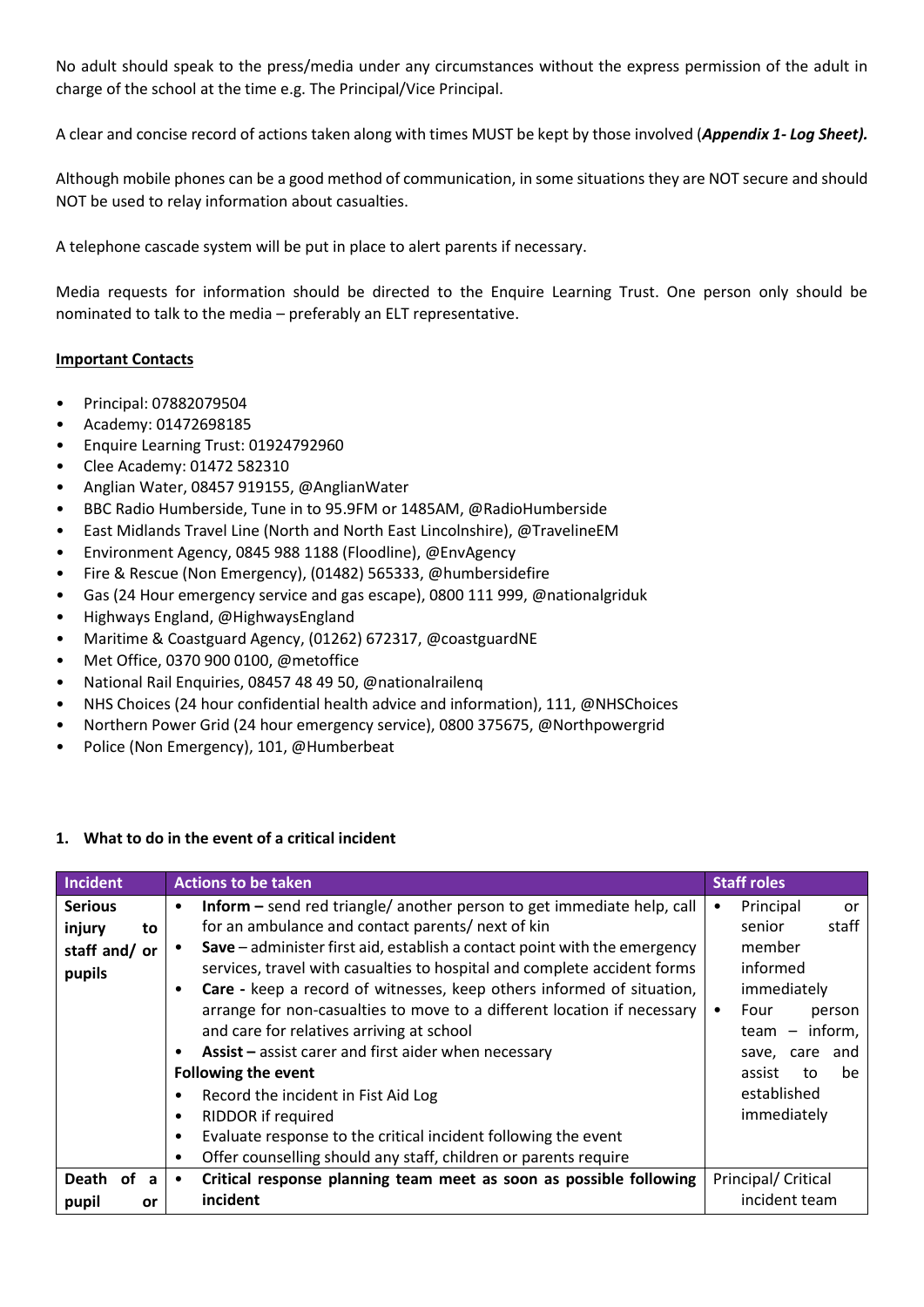No adult should speak to the press/media under any circumstances without the express permission of the adult in charge of the school at the time e.g. The Principal/Vice Principal.

A clear and concise record of actions taken along with times MUST be kept by those involved (*Appendix 1- Log Sheet).* 

Although mobile phones can be a good method of communication, in some situations they are NOT secure and should NOT be used to relay information about casualties.

A telephone cascade system will be put in place to alert parents if necessary.

Media requests for information should be directed to the Enquire Learning Trust. One person only should be nominated to talk to the media – preferably an ELT representative.

#### **Important Contacts**

- Principal: 07882079504
- Academy: 01472698185
- Enquire Learning Trust: 01924792960
- Clee Academy: 01472 582310
- Anglian Water, 08457 919155, @AnglianWater
- BBC Radio Humberside, Tune in to 95.9FM or 1485AM, @RadioHumberside
- East Midlands Travel Line (North and North East Lincolnshire), @TravelineEM
- Environment Agency, 0845 988 1188 (Floodline), @EnvAgency
- Fire & Rescue (Non Emergency), (01482) 565333, @humbersidefire
- Gas (24 Hour emergency service and gas escape), 0800 111 999, @nationalgriduk
- Highways England, @HighwaysEngland
- Maritime & Coastguard Agency, (01262) 672317, @coastguardNE
- Met Office, 0370 900 0100, @metoffice
- National Rail Enquiries, 08457 48 49 50, @nationalrailenq
- NHS Choices (24 hour confidential health advice and information), 111, @NHSChoices
- Northern Power Grid (24 hour emergency service), 0800 375675, @Northpowergrid
- Police (Non Emergency), 101, @Humberbeat

#### **1. What to do in the event of a critical incident**

| <b>Incident</b> | <b>Actions to be taken</b>                                                             | <b>Staff roles</b>  |  |
|-----------------|----------------------------------------------------------------------------------------|---------------------|--|
| <b>Serious</b>  | <b>Inform</b> – send red triangle/ another person to get immediate help, call<br>٠     | Principal<br>or     |  |
| injury<br>to    | for an ambulance and contact parents/ next of kin                                      | staff<br>senior     |  |
| staff and/or    | Save – administer first aid, establish a contact point with the emergency<br>$\bullet$ | member              |  |
| pupils          | services, travel with casualties to hospital and complete accident forms               | informed            |  |
|                 | Care - keep a record of witnesses, keep others informed of situation,<br>٠             | immediately         |  |
|                 | arrange for non-casualties to move to a different location if necessary                | Four<br>person      |  |
|                 | and care for relatives arriving at school                                              | $team - inform,$    |  |
|                 | Assist - assist carer and first aider when necessary<br>٠                              | save, care and      |  |
|                 | <b>Following the event</b>                                                             | assist<br>be<br>to  |  |
|                 | Record the incident in Fist Aid Log<br>٠                                               | established         |  |
|                 | RIDDOR if required<br>$\bullet$                                                        | immediately         |  |
|                 | Evaluate response to the critical incident following the event<br>٠                    |                     |  |
|                 | Offer counselling should any staff, children or parents require<br>٠                   |                     |  |
| Death of a      | Critical response planning team meet as soon as possible following<br>$\bullet$        | Principal/ Critical |  |
| pupil<br>or     | incident                                                                               | incident team       |  |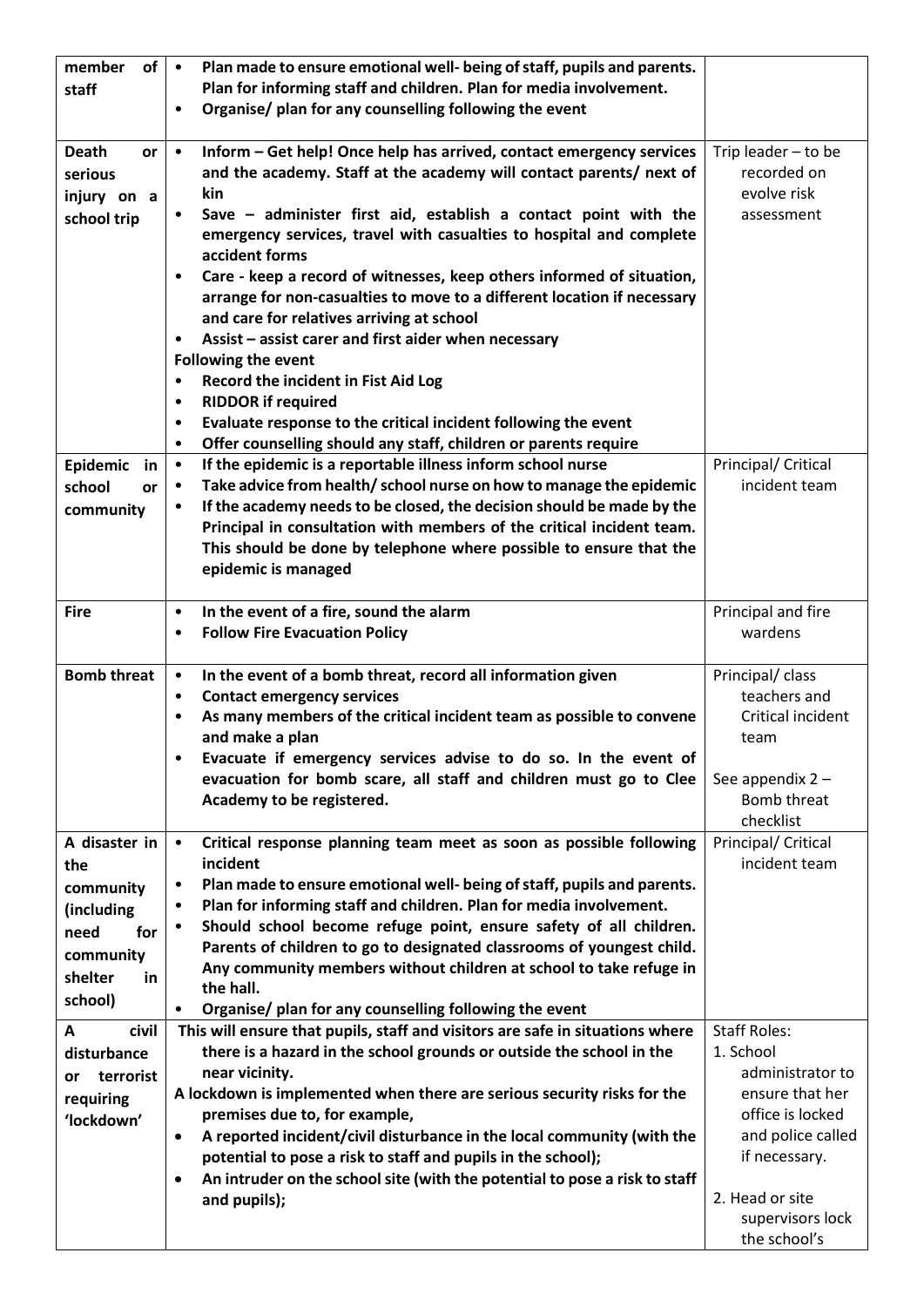| of<br>member       | Plan made to ensure emotional well- being of staff, pupils and parents.<br>$\bullet$    |                                  |
|--------------------|-----------------------------------------------------------------------------------------|----------------------------------|
| staff              | Plan for informing staff and children. Plan for media involvement.                      |                                  |
|                    | Organise/ plan for any counselling following the event<br>$\bullet$                     |                                  |
|                    |                                                                                         |                                  |
| <b>Death</b><br>or | Inform - Get help! Once help has arrived, contact emergency services<br>$\bullet$       | Trip leader - to be              |
| serious            | and the academy. Staff at the academy will contact parents/ next of                     | recorded on                      |
| injury on a        | kin                                                                                     | evolve risk                      |
| school trip        | Save - administer first aid, establish a contact point with the<br>٠                    | assessment                       |
|                    | emergency services, travel with casualties to hospital and complete                     |                                  |
|                    | accident forms                                                                          |                                  |
|                    | Care - keep a record of witnesses, keep others informed of situation,<br>$\bullet$      |                                  |
|                    | arrange for non-casualties to move to a different location if necessary                 |                                  |
|                    | and care for relatives arriving at school                                               |                                  |
|                    | Assist - assist carer and first aider when necessary<br>$\bullet$                       |                                  |
|                    | <b>Following the event</b>                                                              |                                  |
|                    | Record the incident in Fist Aid Log<br>$\bullet$                                        |                                  |
|                    | <b>RIDDOR if required</b><br>٠                                                          |                                  |
|                    | Evaluate response to the critical incident following the event<br>$\bullet$             |                                  |
|                    | Offer counselling should any staff, children or parents require<br>$\bullet$            |                                  |
| Epidemic<br>in     | If the epidemic is a reportable illness inform school nurse<br>$\bullet$                | Principal/ Critical              |
| school<br>or       | Take advice from health/ school nurse on how to manage the epidemic<br>$\bullet$        | incident team                    |
| community          | If the academy needs to be closed, the decision should be made by the<br>$\bullet$      |                                  |
|                    | Principal in consultation with members of the critical incident team.                   |                                  |
|                    | This should be done by telephone where possible to ensure that the                      |                                  |
|                    | epidemic is managed                                                                     |                                  |
|                    |                                                                                         |                                  |
| <b>Fire</b>        | In the event of a fire, sound the alarm<br>$\bullet$                                    | Principal and fire               |
|                    | <b>Follow Fire Evacuation Policy</b><br>$\bullet$                                       | wardens                          |
|                    |                                                                                         |                                  |
| <b>Bomb threat</b> | In the event of a bomb threat, record all information given<br>$\bullet$                | Principal/ class                 |
|                    | <b>Contact emergency services</b><br>$\bullet$                                          | teachers and                     |
|                    | As many members of the critical incident team as possible to convene<br>$\bullet$       | Critical incident                |
|                    | and make a plan                                                                         | team                             |
|                    | Evacuate if emergency services advise to do so. In the event of<br>$\bullet$            |                                  |
|                    | evacuation for bomb scare, all staff and children must go to Clee                       | See appendix 2 -                 |
|                    | Academy to be registered.                                                               | Bomb threat                      |
|                    |                                                                                         | checklist                        |
| A disaster in      | Critical response planning team meet as soon as possible following<br>$\bullet$         | Principal/ Critical              |
| the                | incident                                                                                | incident team                    |
| community          | Plan made to ensure emotional well- being of staff, pupils and parents.<br>$\bullet$    |                                  |
| (including         | Plan for informing staff and children. Plan for media involvement.<br>$\bullet$         |                                  |
| need<br>for        | Should school become refuge point, ensure safety of all children.<br>$\bullet$          |                                  |
| community          | Parents of children to go to designated classrooms of youngest child.                   |                                  |
| shelter<br>in      | Any community members without children at school to take refuge in                      |                                  |
| school)            | the hall.                                                                               |                                  |
|                    | Organise/ plan for any counselling following the event<br>$\bullet$                     |                                  |
| civil<br>A         | This will ensure that pupils, staff and visitors are safe in situations where           | <b>Staff Roles:</b>              |
| disturbance        | there is a hazard in the school grounds or outside the school in the                    | 1. School                        |
| terrorist<br>or    | near vicinity.                                                                          | administrator to                 |
| requiring          | A lockdown is implemented when there are serious security risks for the                 | ensure that her                  |
| 'lockdown'         | premises due to, for example,                                                           | office is locked                 |
|                    | A reported incident/civil disturbance in the local community (with the<br>$\bullet$     | and police called                |
|                    | potential to pose a risk to staff and pupils in the school);                            | if necessary.                    |
|                    |                                                                                         |                                  |
|                    | An intruder on the school site (with the potential to pose a risk to staff<br>$\bullet$ |                                  |
|                    | and pupils);                                                                            | 2. Head or site                  |
|                    |                                                                                         | supervisors lock<br>the school's |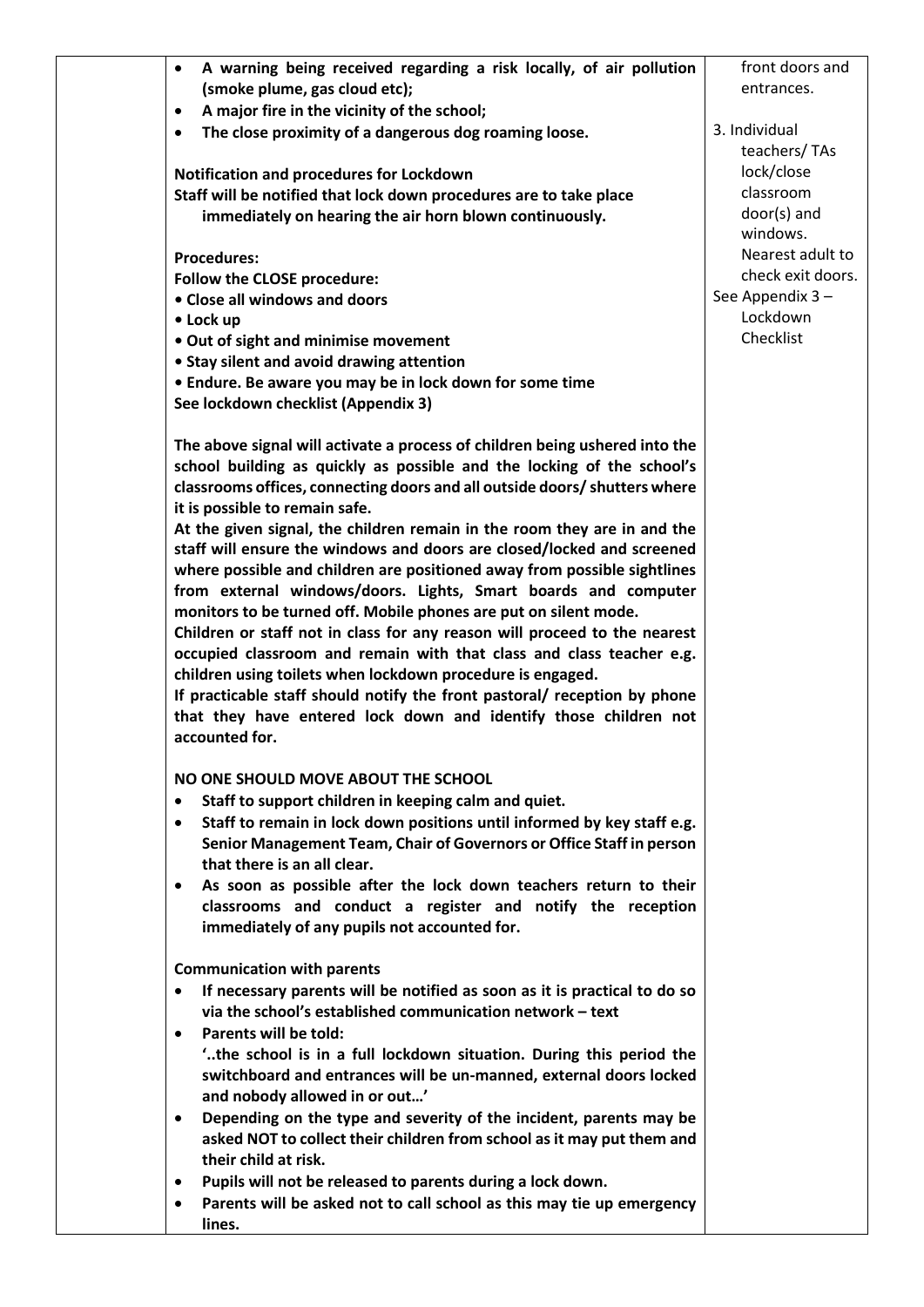| A warning being received regarding a risk locally, of air pollution<br>$\bullet$                                                              | front doors and   |
|-----------------------------------------------------------------------------------------------------------------------------------------------|-------------------|
| (smoke plume, gas cloud etc);                                                                                                                 | entrances.        |
| A major fire in the vicinity of the school;<br>$\bullet$                                                                                      | 3. Individual     |
| The close proximity of a dangerous dog roaming loose.<br>$\bullet$                                                                            | teachers/TAs      |
| Notification and procedures for Lockdown                                                                                                      | lock/close        |
| Staff will be notified that lock down procedures are to take place                                                                            | classroom         |
| immediately on hearing the air horn blown continuously.                                                                                       | door(s) and       |
|                                                                                                                                               | windows.          |
| <b>Procedures:</b>                                                                                                                            | Nearest adult to  |
| Follow the CLOSE procedure:                                                                                                                   | check exit doors. |
| • Close all windows and doors                                                                                                                 | See Appendix 3 -  |
| • Lock up                                                                                                                                     | Lockdown          |
| • Out of sight and minimise movement                                                                                                          | Checklist         |
| • Stay silent and avoid drawing attention                                                                                                     |                   |
| • Endure. Be aware you may be in lock down for some time                                                                                      |                   |
| See lockdown checklist (Appendix 3)                                                                                                           |                   |
| The above signal will activate a process of children being ushered into the                                                                   |                   |
| school building as quickly as possible and the locking of the school's                                                                        |                   |
| classrooms offices, connecting doors and all outside doors/ shutters where                                                                    |                   |
| it is possible to remain safe.                                                                                                                |                   |
| At the given signal, the children remain in the room they are in and the                                                                      |                   |
| staff will ensure the windows and doors are closed/locked and screened                                                                        |                   |
| where possible and children are positioned away from possible sightlines                                                                      |                   |
| from external windows/doors. Lights, Smart boards and computer                                                                                |                   |
| monitors to be turned off. Mobile phones are put on silent mode.                                                                              |                   |
| Children or staff not in class for any reason will proceed to the nearest                                                                     |                   |
| occupied classroom and remain with that class and class teacher e.g.                                                                          |                   |
| children using toilets when lockdown procedure is engaged.                                                                                    |                   |
| If practicable staff should notify the front pastoral/ reception by phone<br>that they have entered lock down and identify those children not |                   |
| accounted for.                                                                                                                                |                   |
| NO ONE SHOULD MOVE ABOUT THE SCHOOL                                                                                                           |                   |
| Staff to support children in keeping calm and quiet.<br>$\bullet$                                                                             |                   |
| Staff to remain in lock down positions until informed by key staff e.g.<br>$\bullet$                                                          |                   |
| Senior Management Team, Chair of Governors or Office Staff in person                                                                          |                   |
| that there is an all clear.                                                                                                                   |                   |
| As soon as possible after the lock down teachers return to their<br>$\bullet$                                                                 |                   |
| classrooms and conduct a register and notify the reception                                                                                    |                   |
| immediately of any pupils not accounted for.                                                                                                  |                   |
| <b>Communication with parents</b>                                                                                                             |                   |
| If necessary parents will be notified as soon as it is practical to do so<br>$\bullet$                                                        |                   |
| via the school's established communication network - text                                                                                     |                   |
| <b>Parents will be told:</b><br>$\bullet$                                                                                                     |                   |
| "the school is in a full lockdown situation. During this period the                                                                           |                   |
| switchboard and entrances will be un-manned, external doors locked                                                                            |                   |
| and nobody allowed in or out'                                                                                                                 |                   |
| Depending on the type and severity of the incident, parents may be<br>$\bullet$                                                               |                   |
| asked NOT to collect their children from school as it may put them and                                                                        |                   |
| their child at risk.                                                                                                                          |                   |
| Pupils will not be released to parents during a lock down.<br>$\bullet$                                                                       |                   |
| Parents will be asked not to call school as this may tie up emergency<br>$\bullet$                                                            |                   |
| lines.                                                                                                                                        |                   |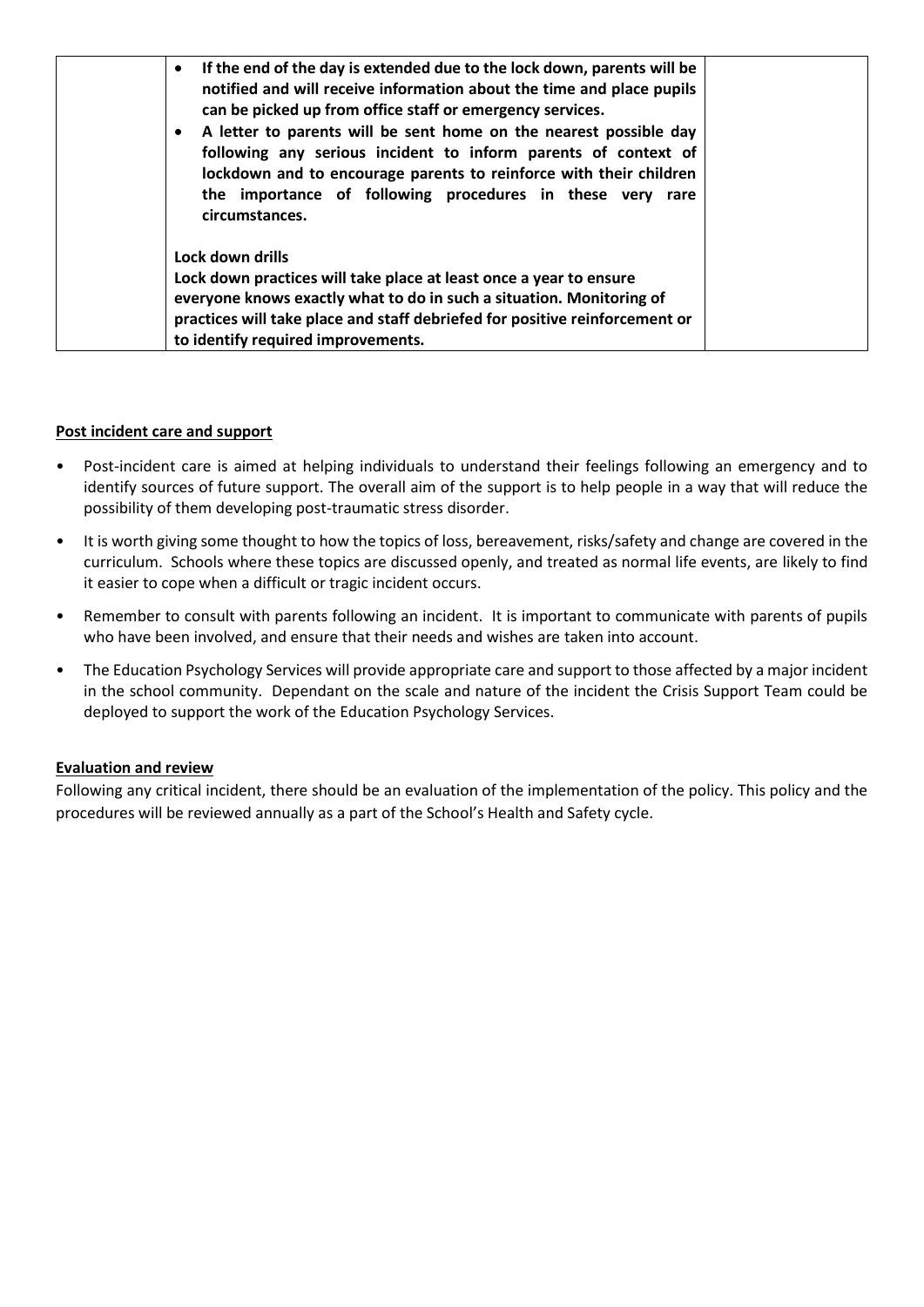| If the end of the day is extended due to the lock down, parents will be<br>$\bullet$<br>notified and will receive information about the time and place pupils<br>can be picked up from office staff or emergency services.<br>A letter to parents will be sent home on the nearest possible day<br>$\bullet$<br>following any serious incident to inform parents of context of<br>lockdown and to encourage parents to reinforce with their children<br>the importance of following procedures in these very rare<br>circumstances. |
|-------------------------------------------------------------------------------------------------------------------------------------------------------------------------------------------------------------------------------------------------------------------------------------------------------------------------------------------------------------------------------------------------------------------------------------------------------------------------------------------------------------------------------------|
| Lock down drills<br>Lock down practices will take place at least once a year to ensure<br>everyone knows exactly what to do in such a situation. Monitoring of<br>practices will take place and staff debriefed for positive reinforcement or<br>to identify required improvements.                                                                                                                                                                                                                                                 |

#### **Post incident care and support**

- Post-incident care is aimed at helping individuals to understand their feelings following an emergency and to identify sources of future support. The overall aim of the support is to help people in a way that will reduce the possibility of them developing post-traumatic stress disorder.
- It is worth giving some thought to how the topics of loss, bereavement, risks/safety and change are covered in the curriculum. Schools where these topics are discussed openly, and treated as normal life events, are likely to find it easier to cope when a difficult or tragic incident occurs.
- Remember to consult with parents following an incident. It is important to communicate with parents of pupils who have been involved, and ensure that their needs and wishes are taken into account.
- The Education Psychology Services will provide appropriate care and support to those affected by a major incident in the school community. Dependant on the scale and nature of the incident the Crisis Support Team could be deployed to support the work of the Education Psychology Services.

# **Evaluation and review**

Following any critical incident, there should be an evaluation of the implementation of the policy. This policy and the procedures will be reviewed annually as a part of the School's Health and Safety cycle.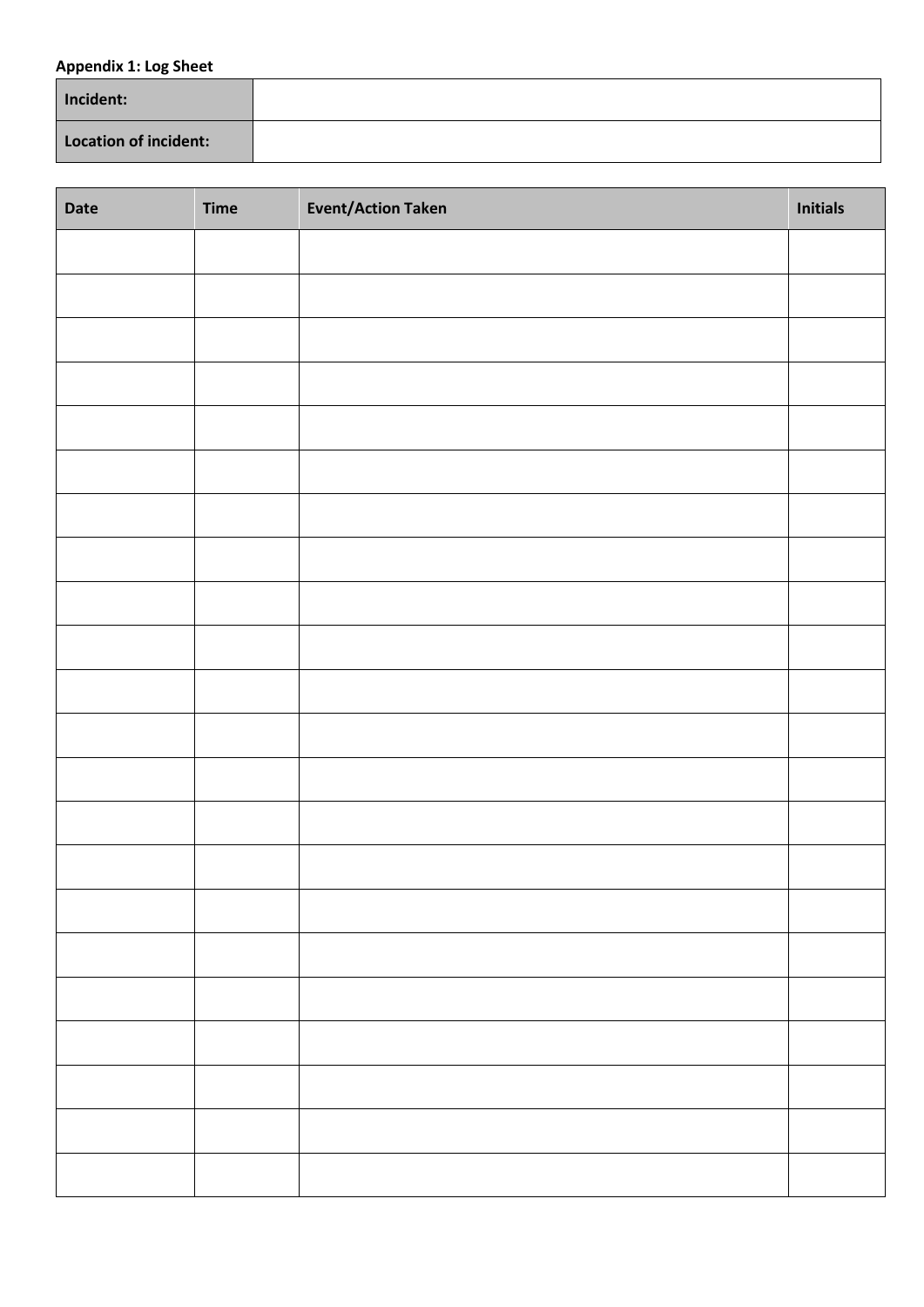## **Appendix 1: Log Sheet**

| Incident:             |  |
|-----------------------|--|
| Location of incident: |  |

| Date | <b>Time</b> | <b>Event/Action Taken</b> | <b>Initials</b> |
|------|-------------|---------------------------|-----------------|
|      |             |                           |                 |
|      |             |                           |                 |
|      |             |                           |                 |
|      |             |                           |                 |
|      |             |                           |                 |
|      |             |                           |                 |
|      |             |                           |                 |
|      |             |                           |                 |
|      |             |                           |                 |
|      |             |                           |                 |
|      |             |                           |                 |
|      |             |                           |                 |
|      |             |                           |                 |
|      |             |                           |                 |
|      |             |                           |                 |
|      |             |                           |                 |
|      |             |                           |                 |
|      |             |                           |                 |
|      |             |                           |                 |
|      |             |                           |                 |
|      |             |                           |                 |
|      |             |                           |                 |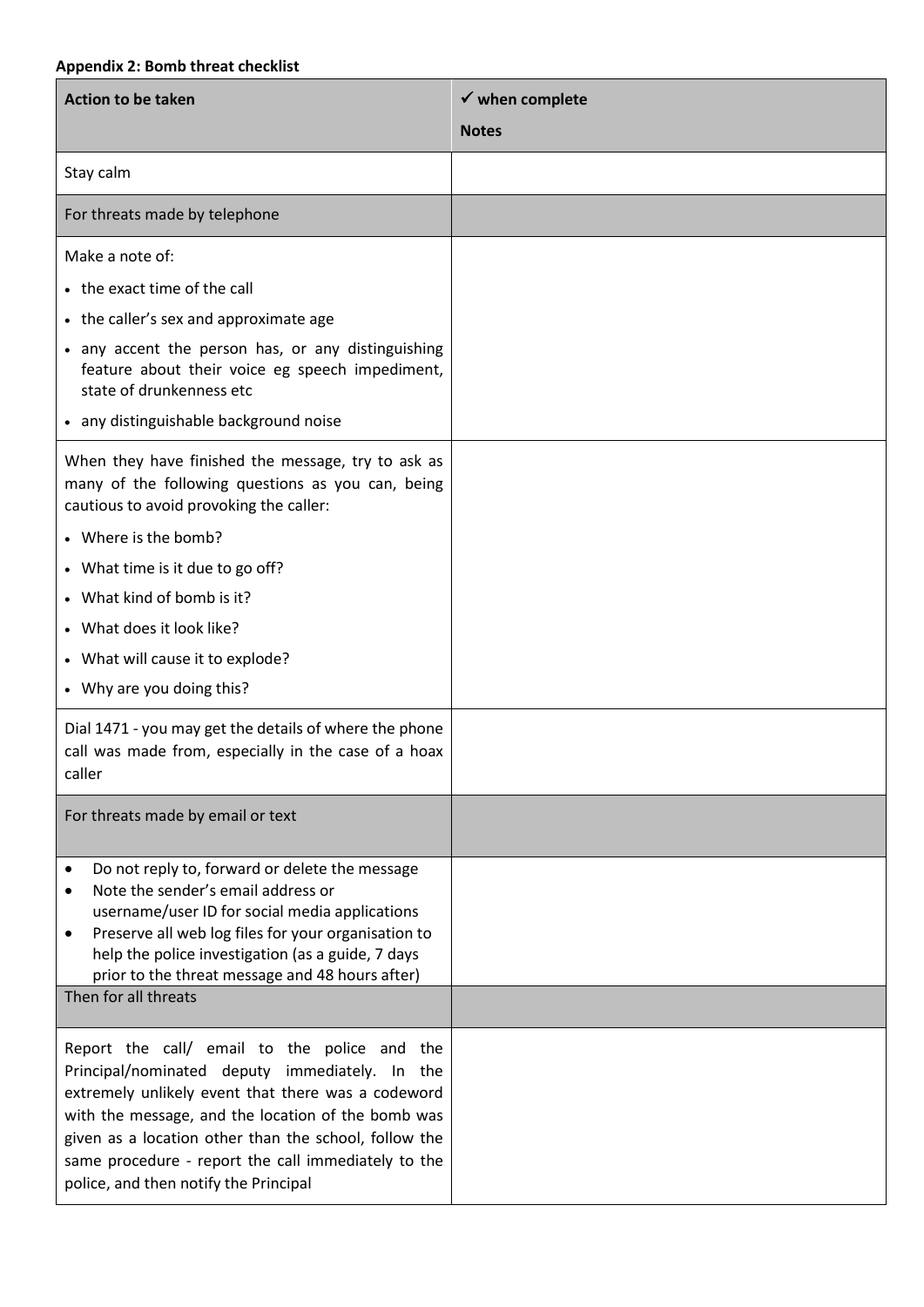# **Appendix 2: Bomb threat checklist**

| <b>Action to be taken</b>                                                                                                                                                                                                                                                                                                                                           | $\checkmark$ when complete |
|---------------------------------------------------------------------------------------------------------------------------------------------------------------------------------------------------------------------------------------------------------------------------------------------------------------------------------------------------------------------|----------------------------|
|                                                                                                                                                                                                                                                                                                                                                                     | <b>Notes</b>               |
| Stay calm                                                                                                                                                                                                                                                                                                                                                           |                            |
| For threats made by telephone                                                                                                                                                                                                                                                                                                                                       |                            |
| Make a note of:                                                                                                                                                                                                                                                                                                                                                     |                            |
| • the exact time of the call                                                                                                                                                                                                                                                                                                                                        |                            |
| • the caller's sex and approximate age                                                                                                                                                                                                                                                                                                                              |                            |
| • any accent the person has, or any distinguishing<br>feature about their voice eg speech impediment,<br>state of drunkenness etc                                                                                                                                                                                                                                   |                            |
| • any distinguishable background noise                                                                                                                                                                                                                                                                                                                              |                            |
| When they have finished the message, try to ask as<br>many of the following questions as you can, being<br>cautious to avoid provoking the caller:                                                                                                                                                                                                                  |                            |
| • Where is the bomb?                                                                                                                                                                                                                                                                                                                                                |                            |
| • What time is it due to go off?                                                                                                                                                                                                                                                                                                                                    |                            |
| • What kind of bomb is it?                                                                                                                                                                                                                                                                                                                                          |                            |
| • What does it look like?                                                                                                                                                                                                                                                                                                                                           |                            |
| • What will cause it to explode?                                                                                                                                                                                                                                                                                                                                    |                            |
| • Why are you doing this?                                                                                                                                                                                                                                                                                                                                           |                            |
| Dial 1471 - you may get the details of where the phone<br>call was made from, especially in the case of a hoax<br>caller                                                                                                                                                                                                                                            |                            |
| For threats made by email or text                                                                                                                                                                                                                                                                                                                                   |                            |
| Do not reply to, forward or delete the message<br>٠<br>Note the sender's email address or<br>$\bullet$<br>username/user ID for social media applications<br>Preserve all web log files for your organisation to<br>٠<br>help the police investigation (as a guide, 7 days<br>prior to the threat message and 48 hours after)                                        |                            |
| Then for all threats                                                                                                                                                                                                                                                                                                                                                |                            |
| Report the call/ email to the police and the<br>Principal/nominated deputy immediately. In the<br>extremely unlikely event that there was a codeword<br>with the message, and the location of the bomb was<br>given as a location other than the school, follow the<br>same procedure - report the call immediately to the<br>police, and then notify the Principal |                            |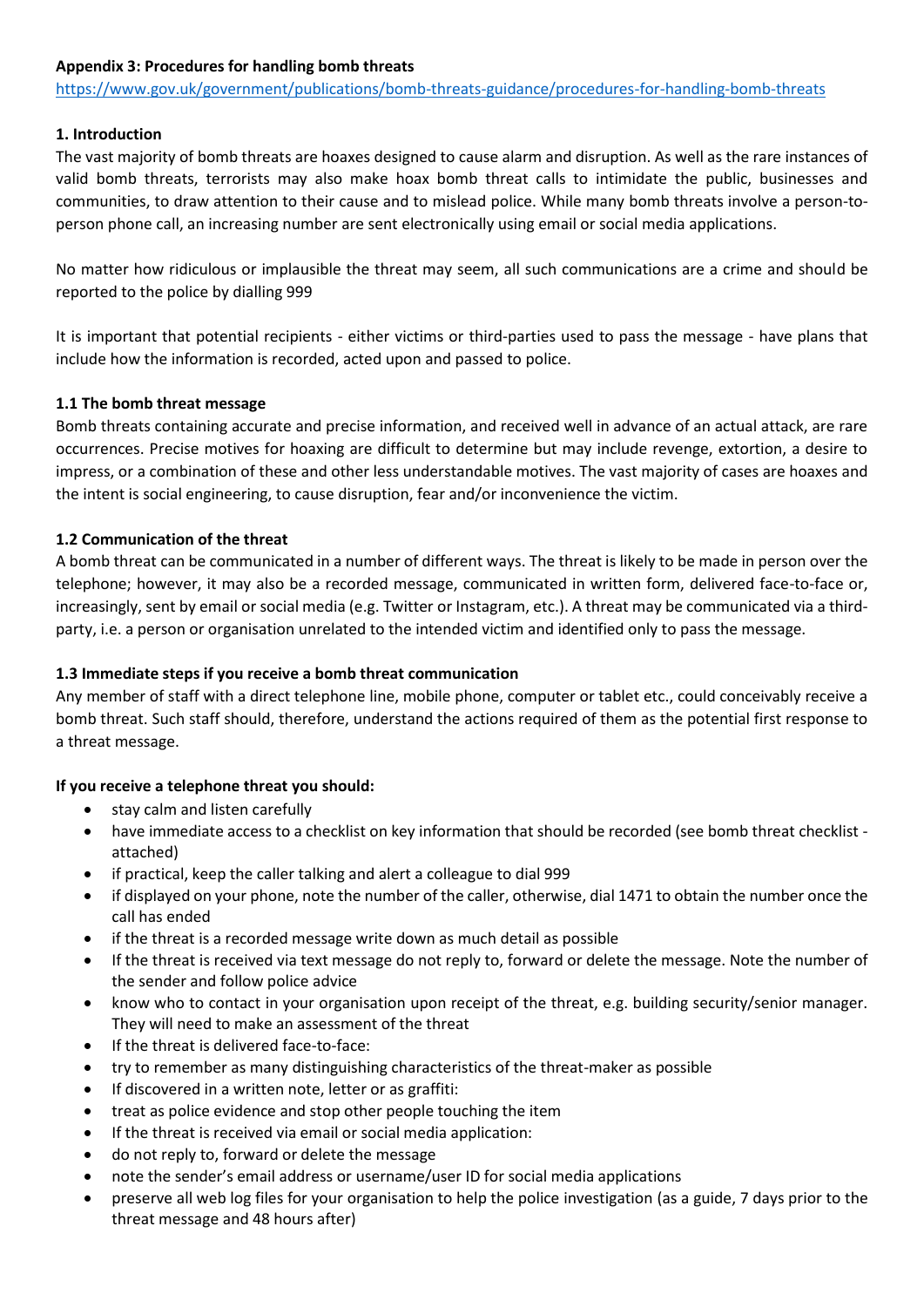#### **Appendix 3: Procedures for handling bomb threats**

<https://www.gov.uk/government/publications/bomb-threats-guidance/procedures-for-handling-bomb-threats>

# **1. Introduction**

The vast majority of bomb threats are hoaxes designed to cause alarm and disruption. As well as the rare instances of valid bomb threats, terrorists may also make hoax bomb threat calls to intimidate the public, businesses and communities, to draw attention to their cause and to mislead police. While many bomb threats involve a person-toperson phone call, an increasing number are sent electronically using email or social media applications.

No matter how ridiculous or implausible the threat may seem, all such communications are a crime and should be reported to the police by dialling 999

It is important that potential recipients - either victims or third-parties used to pass the message - have plans that include how the information is recorded, acted upon and passed to police.

#### **1.1 The bomb threat message**

Bomb threats containing accurate and precise information, and received well in advance of an actual attack, are rare occurrences. Precise motives for hoaxing are difficult to determine but may include revenge, extortion, a desire to impress, or a combination of these and other less understandable motives. The vast majority of cases are hoaxes and the intent is social engineering, to cause disruption, fear and/or inconvenience the victim.

#### **1.2 Communication of the threat**

A bomb threat can be communicated in a number of different ways. The threat is likely to be made in person over the telephone; however, it may also be a recorded message, communicated in written form, delivered face-to-face or, increasingly, sent by email or social media (e.g. Twitter or Instagram, etc.). A threat may be communicated via a thirdparty, i.e. a person or organisation unrelated to the intended victim and identified only to pass the message.

# **1.3 Immediate steps if you receive a bomb threat communication**

Any member of staff with a direct telephone line, mobile phone, computer or tablet etc., could conceivably receive a bomb threat. Such staff should, therefore, understand the actions required of them as the potential first response to a threat message.

#### **If you receive a telephone threat you should:**

- stay calm and listen carefully
- have immediate access to a checklist on key information that should be recorded (see bomb threat checklist attached)
- if practical, keep the caller talking and alert a colleague to dial 999
- if displayed on your phone, note the number of the caller, otherwise, dial 1471 to obtain the number once the call has ended
- if the threat is a recorded message write down as much detail as possible
- If the threat is received via text message do not reply to, forward or delete the message. Note the number of the sender and follow police advice
- know who to contact in your organisation upon receipt of the threat, e.g. building security/senior manager. They will need to make an assessment of the threat
- If the threat is delivered face-to-face:
- try to remember as many distinguishing characteristics of the threat-maker as possible
- If discovered in a written note, letter or as graffiti:
- treat as police evidence and stop other people touching the item
- If the threat is received via email or social media application:
- do not reply to, forward or delete the message
- note the sender's email address or username/user ID for social media applications
- preserve all web log files for your organisation to help the police investigation (as a guide, 7 days prior to the threat message and 48 hours after)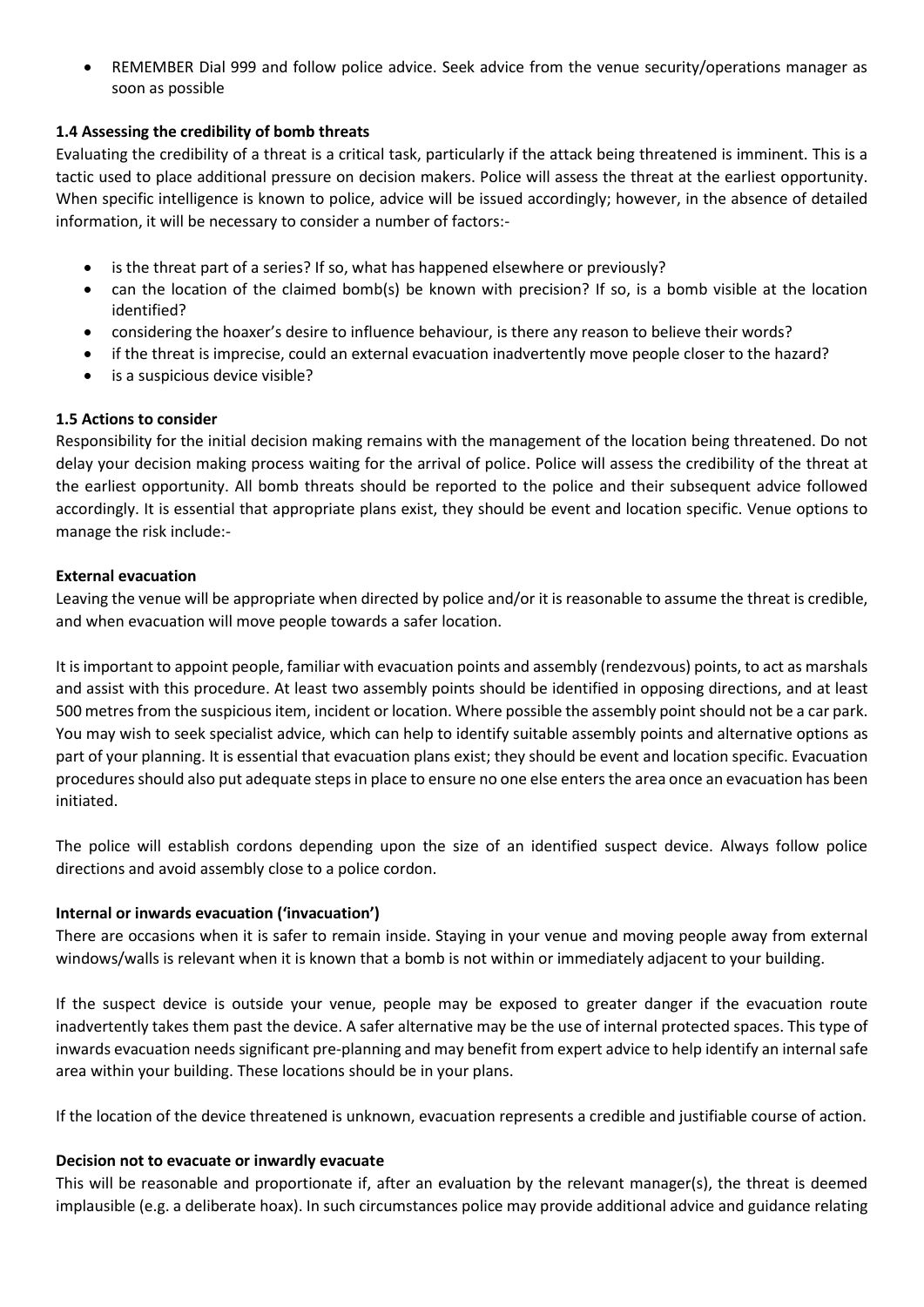REMEMBER Dial 999 and follow police advice. Seek advice from the venue security/operations manager as soon as possible

#### **1.4 Assessing the credibility of bomb threats**

Evaluating the credibility of a threat is a critical task, particularly if the attack being threatened is imminent. This is a tactic used to place additional pressure on decision makers. Police will assess the threat at the earliest opportunity. When specific intelligence is known to police, advice will be issued accordingly; however, in the absence of detailed information, it will be necessary to consider a number of factors:-

- is the threat part of a series? If so, what has happened elsewhere or previously?
- can the location of the claimed bomb(s) be known with precision? If so, is a bomb visible at the location identified?
- considering the hoaxer's desire to influence behaviour, is there any reason to believe their words?
- if the threat is imprecise, could an external evacuation inadvertently move people closer to the hazard?
- is a suspicious device visible?

#### **1.5 Actions to consider**

Responsibility for the initial decision making remains with the management of the location being threatened. Do not delay your decision making process waiting for the arrival of police. Police will assess the credibility of the threat at the earliest opportunity. All bomb threats should be reported to the police and their subsequent advice followed accordingly. It is essential that appropriate plans exist, they should be event and location specific. Venue options to manage the risk include:-

#### **External evacuation**

Leaving the venue will be appropriate when directed by police and/or it is reasonable to assume the threat is credible, and when evacuation will move people towards a safer location.

It is important to appoint people, familiar with evacuation points and assembly (rendezvous) points, to act as marshals and assist with this procedure. At least two assembly points should be identified in opposing directions, and at least 500 metres from the suspicious item, incident or location. Where possible the assembly point should not be a car park. You may wish to seek specialist advice, which can help to identify suitable assembly points and alternative options as part of your planning. It is essential that evacuation plans exist; they should be event and location specific. Evacuation procedures should also put adequate steps in place to ensure no one else enters the area once an evacuation has been initiated.

The police will establish cordons depending upon the size of an identified suspect device. Always follow police directions and avoid assembly close to a police cordon.

#### **Internal or inwards evacuation ('invacuation')**

There are occasions when it is safer to remain inside. Staying in your venue and moving people away from external windows/walls is relevant when it is known that a bomb is not within or immediately adjacent to your building.

If the suspect device is outside your venue, people may be exposed to greater danger if the evacuation route inadvertently takes them past the device. A safer alternative may be the use of internal protected spaces. This type of inwards evacuation needs significant pre-planning and may benefit from expert advice to help identify an internal safe area within your building. These locations should be in your plans.

If the location of the device threatened is unknown, evacuation represents a credible and justifiable course of action.

#### **Decision not to evacuate or inwardly evacuate**

This will be reasonable and proportionate if, after an evaluation by the relevant manager(s), the threat is deemed implausible (e.g. a deliberate hoax). In such circumstances police may provide additional advice and guidance relating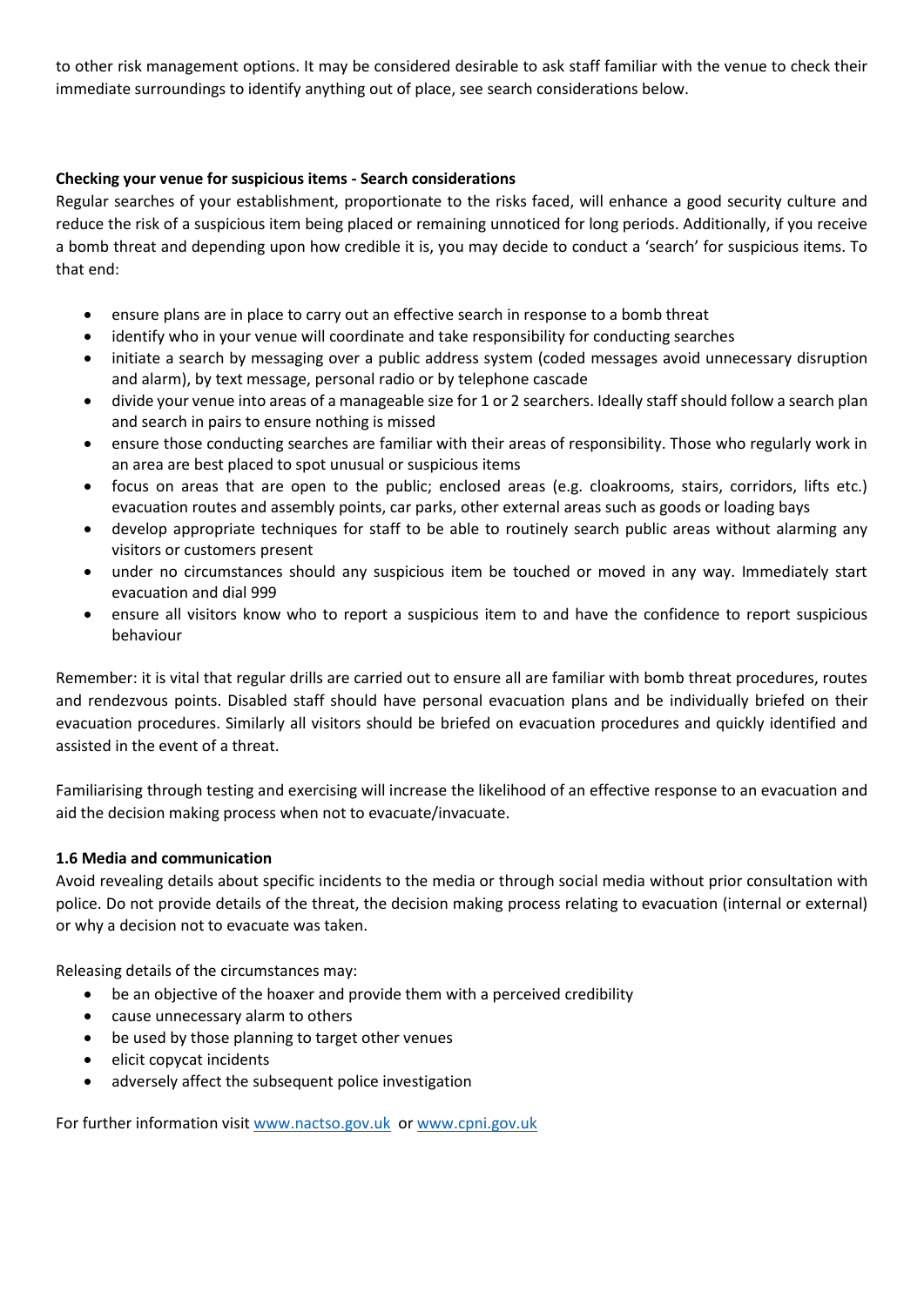to other risk management options. It may be considered desirable to ask staff familiar with the venue to check their immediate surroundings to identify anything out of place, see search considerations below.

# **Checking your venue for suspicious items - Search considerations**

Regular searches of your establishment, proportionate to the risks faced, will enhance a good security culture and reduce the risk of a suspicious item being placed or remaining unnoticed for long periods. Additionally, if you receive a bomb threat and depending upon how credible it is, you may decide to conduct a 'search' for suspicious items. To that end:

- ensure plans are in place to carry out an effective search in response to a bomb threat
- identify who in your venue will coordinate and take responsibility for conducting searches
- initiate a search by messaging over a public address system (coded messages avoid unnecessary disruption and alarm), by text message, personal radio or by telephone cascade
- divide your venue into areas of a manageable size for 1 or 2 searchers. Ideally staff should follow a search plan and search in pairs to ensure nothing is missed
- ensure those conducting searches are familiar with their areas of responsibility. Those who regularly work in an area are best placed to spot unusual or suspicious items
- focus on areas that are open to the public; enclosed areas (e.g. cloakrooms, stairs, corridors, lifts etc.) evacuation routes and assembly points, car parks, other external areas such as goods or loading bays
- develop appropriate techniques for staff to be able to routinely search public areas without alarming any visitors or customers present
- under no circumstances should any suspicious item be touched or moved in any way. Immediately start evacuation and dial 999
- ensure all visitors know who to report a suspicious item to and have the confidence to report suspicious behaviour

Remember: it is vital that regular drills are carried out to ensure all are familiar with bomb threat procedures, routes and rendezvous points. Disabled staff should have personal evacuation plans and be individually briefed on their evacuation procedures. Similarly all visitors should be briefed on evacuation procedures and quickly identified and assisted in the event of a threat.

Familiarising through testing and exercising will increase the likelihood of an effective response to an evacuation and aid the decision making process when not to evacuate/invacuate.

#### **1.6 Media and communication**

Avoid revealing details about specific incidents to the media or through social media without prior consultation with police. Do not provide details of the threat, the decision making process relating to evacuation (internal or external) or why a decision not to evacuate was taken.

Releasing details of the circumstances may:

- be an objective of the hoaxer and provide them with a perceived credibility
- cause unnecessary alarm to others
- be used by those planning to target other venues
- elicit copycat incidents
- adversely affect the subsequent police investigation

For further information visi[t www.nactso.gov.uk](http://www.nactso.gov.uk/) or [www.cpni.gov.uk](http://www.cpni.gov.uk/)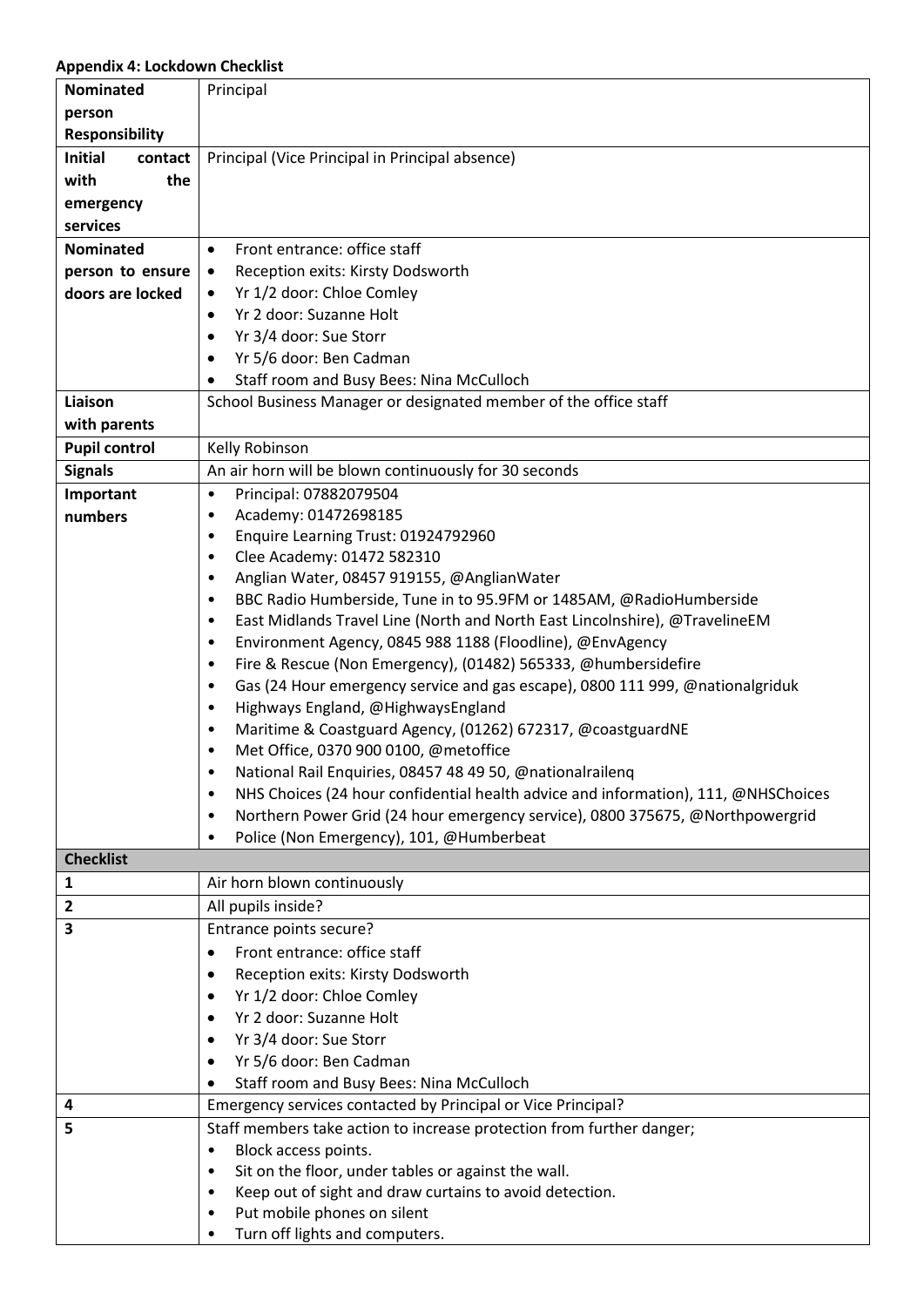## **Appendix 4: Lockdown Checklist**

| <b>Nominated</b>          | Principal                                                                                                                        |  |
|---------------------------|----------------------------------------------------------------------------------------------------------------------------------|--|
| person                    |                                                                                                                                  |  |
| <b>Responsibility</b>     |                                                                                                                                  |  |
| <b>Initial</b><br>contact | Principal (Vice Principal in Principal absence)                                                                                  |  |
| with<br>the               |                                                                                                                                  |  |
| emergency                 |                                                                                                                                  |  |
| services                  |                                                                                                                                  |  |
| <b>Nominated</b>          |                                                                                                                                  |  |
|                           | Front entrance: office staff<br>$\bullet$                                                                                        |  |
| person to ensure          | Reception exits: Kirsty Dodsworth<br>$\bullet$                                                                                   |  |
| doors are locked          | Yr 1/2 door: Chloe Comley<br>$\bullet$                                                                                           |  |
|                           | Yr 2 door: Suzanne Holt<br>$\bullet$                                                                                             |  |
|                           | Yr 3/4 door: Sue Storr<br>$\bullet$                                                                                              |  |
|                           | Yr 5/6 door: Ben Cadman<br>$\bullet$                                                                                             |  |
|                           | Staff room and Busy Bees: Nina McCulloch                                                                                         |  |
| Liaison                   | School Business Manager or designated member of the office staff                                                                 |  |
| with parents              |                                                                                                                                  |  |
| <b>Pupil control</b>      | Kelly Robinson                                                                                                                   |  |
| <b>Signals</b>            | An air horn will be blown continuously for 30 seconds                                                                            |  |
| Important                 | Principal: 07882079504<br>$\bullet$                                                                                              |  |
| numbers                   | Academy: 01472698185<br>$\bullet$                                                                                                |  |
|                           | Enquire Learning Trust: 01924792960<br>$\bullet$                                                                                 |  |
|                           | Clee Academy: 01472 582310<br>$\bullet$                                                                                          |  |
|                           | Anglian Water, 08457 919155, @AnglianWater<br>$\bullet$                                                                          |  |
|                           | BBC Radio Humberside, Tune in to 95.9FM or 1485AM, @RadioHumberside<br>$\bullet$                                                 |  |
|                           | East Midlands Travel Line (North and North East Lincolnshire), @TravelineEM<br>$\bullet$                                         |  |
|                           | Environment Agency, 0845 988 1188 (Floodline), @EnvAgency<br>$\bullet$                                                           |  |
|                           | Fire & Rescue (Non Emergency), (01482) 565333, @humbersidefire<br>$\bullet$<br>$\bullet$                                         |  |
|                           | Gas (24 Hour emergency service and gas escape), 0800 111 999, @nationalgriduk<br>Highways England, @HighwaysEngland<br>$\bullet$ |  |
|                           | Maritime & Coastguard Agency, (01262) 672317, @coastguardNE<br>$\bullet$                                                         |  |
|                           | Met Office, 0370 900 0100, @metoffice<br>$\bullet$                                                                               |  |
|                           | National Rail Enquiries, 08457 48 49 50, @nationalrailenq                                                                        |  |
|                           | NHS Choices (24 hour confidential health advice and information), 111, @NHSChoices<br>$\bullet$                                  |  |
|                           | Northern Power Grid (24 hour emergency service), 0800 375675, @Northpowergrid<br>$\bullet$                                       |  |
|                           | Police (Non Emergency), 101, @Humberbeat<br>$\bullet$                                                                            |  |
| <b>Checklist</b>          |                                                                                                                                  |  |
| $\mathbf{1}$              | Air horn blown continuously                                                                                                      |  |
| $\overline{\mathbf{2}}$   | All pupils inside?                                                                                                               |  |
| 3                         | Entrance points secure?                                                                                                          |  |
|                           | Front entrance: office staff<br>$\bullet$                                                                                        |  |
|                           | Reception exits: Kirsty Dodsworth<br>$\bullet$                                                                                   |  |
|                           | Yr 1/2 door: Chloe Comley<br>$\bullet$                                                                                           |  |
|                           | Yr 2 door: Suzanne Holt<br>$\bullet$                                                                                             |  |
|                           | Yr 3/4 door: Sue Storr                                                                                                           |  |
|                           | Yr 5/6 door: Ben Cadman                                                                                                          |  |
|                           | Staff room and Busy Bees: Nina McCulloch                                                                                         |  |
| 4                         | Emergency services contacted by Principal or Vice Principal?                                                                     |  |
| 5                         | Staff members take action to increase protection from further danger;                                                            |  |
|                           | Block access points.<br>$\bullet$                                                                                                |  |
|                           | Sit on the floor, under tables or against the wall.<br>$\bullet$                                                                 |  |
|                           | Keep out of sight and draw curtains to avoid detection.<br>٠                                                                     |  |
|                           | Put mobile phones on silent<br>٠                                                                                                 |  |
|                           | Turn off lights and computers.                                                                                                   |  |